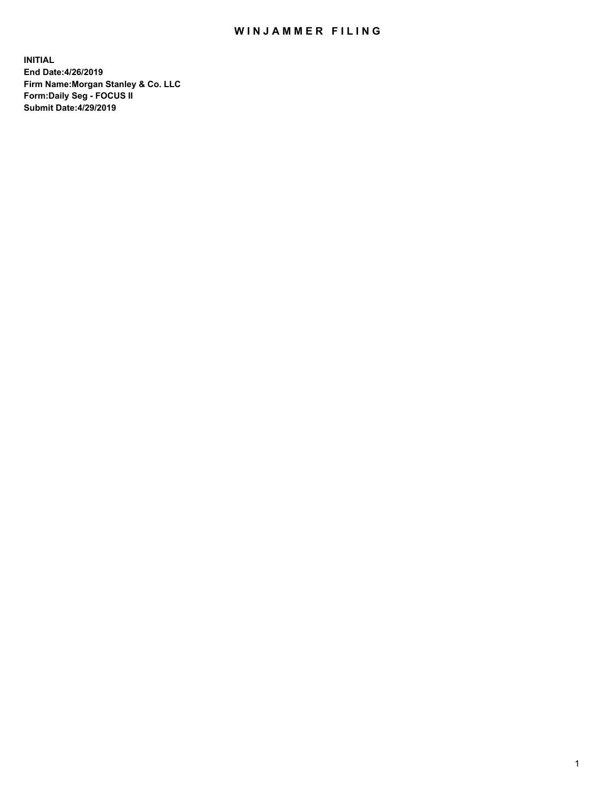## WIN JAMMER FILING

**INITIAL End Date:4/26/2019 Firm Name:Morgan Stanley & Co. LLC Form:Daily Seg - FOCUS II Submit Date:4/29/2019**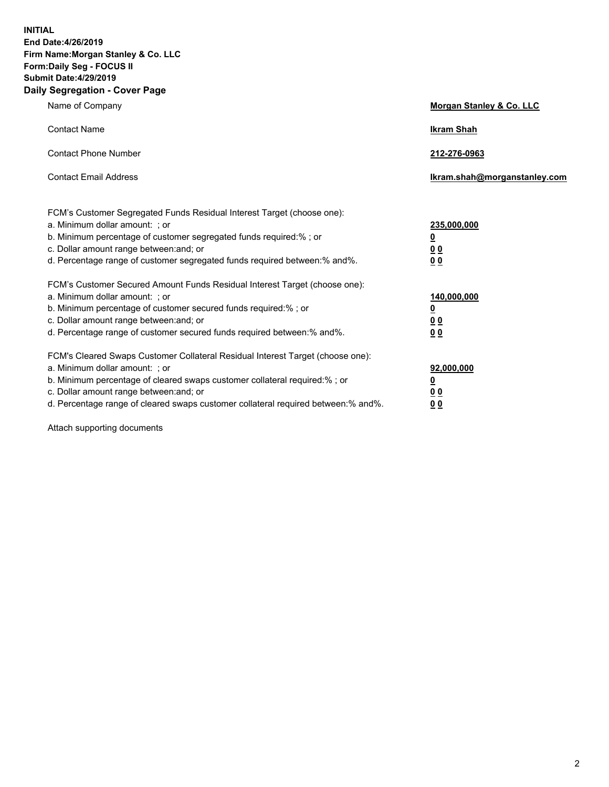**INITIAL End Date:4/26/2019 Firm Name:Morgan Stanley & Co. LLC Form:Daily Seg - FOCUS II Submit Date:4/29/2019 Daily Segregation - Cover Page**

| Name of Company                                                                                                                                                                                                                                                                                                                | Morgan Stanley & Co. LLC                               |
|--------------------------------------------------------------------------------------------------------------------------------------------------------------------------------------------------------------------------------------------------------------------------------------------------------------------------------|--------------------------------------------------------|
| <b>Contact Name</b>                                                                                                                                                                                                                                                                                                            | <b>Ikram Shah</b>                                      |
| <b>Contact Phone Number</b>                                                                                                                                                                                                                                                                                                    | 212-276-0963                                           |
| <b>Contact Email Address</b>                                                                                                                                                                                                                                                                                                   | Ikram.shah@morganstanley.com                           |
| FCM's Customer Segregated Funds Residual Interest Target (choose one):<br>a. Minimum dollar amount: ; or<br>b. Minimum percentage of customer segregated funds required:% ; or<br>c. Dollar amount range between: and; or<br>d. Percentage range of customer segregated funds required between:% and%.                         | 235,000,000<br><u>0</u><br><u>00</u><br>0 <sub>0</sub> |
| FCM's Customer Secured Amount Funds Residual Interest Target (choose one):<br>a. Minimum dollar amount: ; or<br>b. Minimum percentage of customer secured funds required:% ; or<br>c. Dollar amount range between: and; or<br>d. Percentage range of customer secured funds required between:% and%.                           | 140,000,000<br><u>0</u><br>0 <sub>0</sub><br>00        |
| FCM's Cleared Swaps Customer Collateral Residual Interest Target (choose one):<br>a. Minimum dollar amount: ; or<br>b. Minimum percentage of cleared swaps customer collateral required:% ; or<br>c. Dollar amount range between: and; or<br>d. Percentage range of cleared swaps customer collateral required between:% and%. | 92,000,000<br><u>0</u><br><u>00</u><br>00              |

Attach supporting documents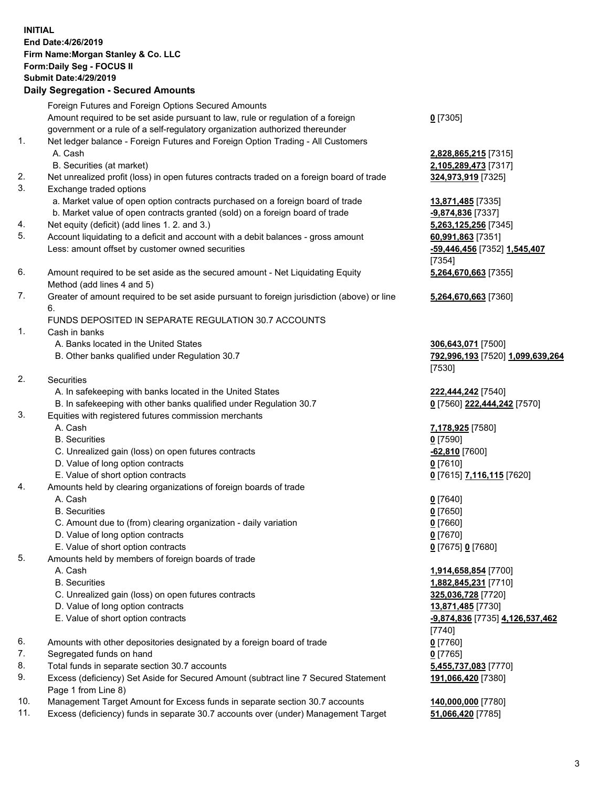## **INITIAL End Date:4/26/2019 Firm Name:Morgan Stanley & Co. LLC Form:Daily Seg - FOCUS II Submit Date:4/29/2019 Daily Segregation - Secured Amounts** Foreign Futures and Foreign Options Secured Amounts Amount required to be set aside pursuant to law, rule or regulation of a foreign government or a rule of a self-regulatory organization authorized thereunder 1. Net ledger balance - Foreign Futures and Foreign Option Trading - All Customers A. Cash **2,828,865,215** [7315] B. Securities (at market) **2,105,289,473** [7317] 2. Net unrealized profit (loss) in open futures contracts traded on a foreign board of trade **324,973,919** [7325] 3. Exchange traded options a. Market value of open option contracts purchased on a foreign board of trade **13,871,485** [7335] b. Market value of open contracts granted (sold) on a foreign board of trade **-9,874,836** [7337] 4. Net equity (deficit) (add lines 1. 2. and 3.) **5,263,125,256** [7345] 5. Account liquidating to a deficit and account with a debit balances - gross amount **60,991,863** [7351] Less: amount offset by customer owned securities **-59,446,456** [7352] **1,545,407** 6. Amount required to be set aside as the secured amount - Net Liquidating Equity Method (add lines 4 and 5) 7. Greater of amount required to be set aside pursuant to foreign jurisdiction (above) or line 6. FUNDS DEPOSITED IN SEPARATE REGULATION 30.7 ACCOUNTS 1. Cash in banks A. Banks located in the United States **306,643,071** [7500] B. Other banks qualified under Regulation 30.7 **792,996,193** [7520] **1,099,639,264** 2. Securities A. In safekeeping with banks located in the United States **222,444,242** [7540] B. In safekeeping with other banks qualified under Regulation 30.7 **0** [7560] **222,444,242** [7570] 3. Equities with registered futures commission merchants A. Cash **7,178,925** [7580] B. Securities **0** [7590] C. Unrealized gain (loss) on open futures contracts **-62,810** [7600] D. Value of long option contracts **0** [7610] E. Value of short option contracts **0** [7615] **7,116,115** [7620] 4. Amounts held by clearing organizations of foreign boards of trade A. Cash **0** [7640] B. Securities **0** [7650] C. Amount due to (from) clearing organization - daily variation **0** [7660] D. Value of long option contracts **0** [7670] E. Value of short option contracts **0** [7675] **0** [7680] 5. Amounts held by members of foreign boards of trade A. Cash **1,914,658,854** [7700]

- 
- C. Unrealized gain (loss) on open futures contracts **325,036,728** [7720]
- D. Value of long option contracts **13,871,485** [7730]
- E. Value of short option contracts **-9,874,836** [7735] **4,126,537,462**
- 6. Amounts with other depositories designated by a foreign board of trade **0** [7760]
- 7. Segregated funds on hand **0** [7765]
- 8. Total funds in separate section 30.7 accounts **5,455,737,083** [7770]
- 9. Excess (deficiency) Set Aside for Secured Amount (subtract line 7 Secured Statement Page 1 from Line 8)
- 10. Management Target Amount for Excess funds in separate section 30.7 accounts **140,000,000** [7780]
- 11. Excess (deficiency) funds in separate 30.7 accounts over (under) Management Target **51,066,420** [7785]

**0** [7305]

[7354] **5,264,670,663** [7355]

**5,264,670,663** [7360]

[7530]

 B. Securities **1,882,845,231** [7710] [7740] **191,066,420** [7380]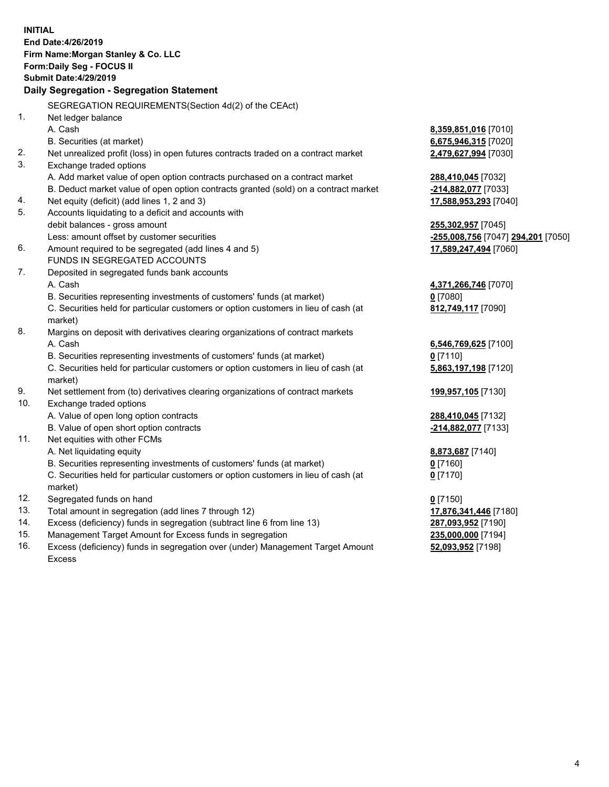**INITIAL End Date:4/26/2019 Firm Name:Morgan Stanley & Co. LLC Form:Daily Seg - FOCUS II Submit Date:4/29/2019 Daily Segregation - Segregation Statement** SEGREGATION REQUIREMENTS(Section 4d(2) of the CEAct) 1. Net ledger balance A. Cash **8,359,851,016** [7010] B. Securities (at market) **6,675,946,315** [7020] 2. Net unrealized profit (loss) in open futures contracts traded on a contract market **2,479,627,994** [7030] 3. Exchange traded options A. Add market value of open option contracts purchased on a contract market **288,410,045** [7032] B. Deduct market value of open option contracts granted (sold) on a contract market **-214,882,077** [7033] 4. Net equity (deficit) (add lines 1, 2 and 3) **17,588,953,293** [7040] 5. Accounts liquidating to a deficit and accounts with debit balances - gross amount **255,302,957** [7045] Less: amount offset by customer securities **-255,008,756** [7047] **294,201** [7050] 6. Amount required to be segregated (add lines 4 and 5) **17,589,247,494** [7060] FUNDS IN SEGREGATED ACCOUNTS 7. Deposited in segregated funds bank accounts A. Cash **4,371,266,746** [7070] B. Securities representing investments of customers' funds (at market) **0** [7080] C. Securities held for particular customers or option customers in lieu of cash (at market) **812,749,117** [7090] 8. Margins on deposit with derivatives clearing organizations of contract markets A. Cash **6,546,769,625** [7100] B. Securities representing investments of customers' funds (at market) **0** [7110] C. Securities held for particular customers or option customers in lieu of cash (at market) **5,863,197,198** [7120] 9. Net settlement from (to) derivatives clearing organizations of contract markets **199,957,105** [7130] 10. Exchange traded options A. Value of open long option contracts **288,410,045** [7132] B. Value of open short option contracts **-214,882,077** [7133] 11. Net equities with other FCMs A. Net liquidating equity **8,873,687** [7140] B. Securities representing investments of customers' funds (at market) **0** [7160] C. Securities held for particular customers or option customers in lieu of cash (at market) **0** [7170] 12. Segregated funds on hand **0** [7150] 13. Total amount in segregation (add lines 7 through 12) **17,876,341,446** [7180] 14. Excess (deficiency) funds in segregation (subtract line 6 from line 13) **287,093,952** [7190] 15. Management Target Amount for Excess funds in segregation **235,000,000** [7194] **52,093,952** [7198]

16. Excess (deficiency) funds in segregation over (under) Management Target Amount Excess